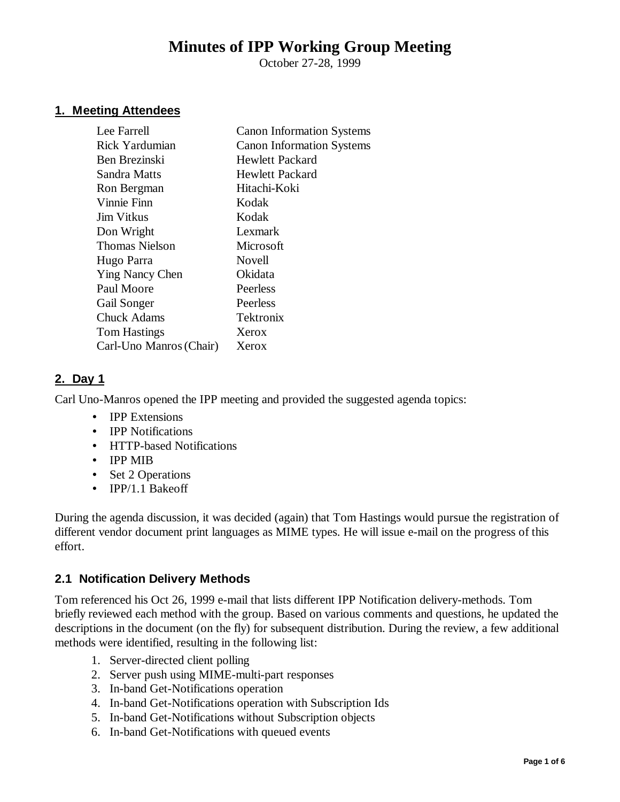# **Minutes of IPP Working Group Meeting**

October 27-28, 1999

#### **1. Meeting Attendees**

| Lee Farrell             | <b>Canon Information Systems</b> |
|-------------------------|----------------------------------|
| Rick Yardumian          | <b>Canon Information Systems</b> |
| Ben Brezinski           | <b>Hewlett Packard</b>           |
| Sandra Matts            | Hewlett Packard                  |
| Ron Bergman             | Hitachi-Koki                     |
| Vinnie Finn             | Kodak                            |
| Jim Vitkus              | Kodak                            |
| Don Wright              | Lexmark                          |
| <b>Thomas Nielson</b>   | Microsoft                        |
| Hugo Parra              | Novell                           |
| <b>Ying Nancy Chen</b>  | Okidata                          |
| Paul Moore              | Peerless                         |
| Gail Songer             | Peerless                         |
| <b>Chuck Adams</b>      | Tektronix                        |
| <b>Tom Hastings</b>     | Xerox                            |
| Carl-Uno Manros (Chair) | Xerox                            |
|                         |                                  |

#### **2. Day 1**

Carl Uno-Manros opened the IPP meeting and provided the suggested agenda topics:

- **IPP Extensions**
- **IPP Notifications**
- HTTP-based Notifications
- IPP MIB
- Set 2 Operations
- IPP/1.1 Bakeoff

During the agenda discussion, it was decided (again) that Tom Hastings would pursue the registration of different vendor document print languages as MIME types. He will issue e-mail on the progress of this effort.

## **2.1 Notification Delivery Methods**

Tom referenced his Oct 26, 1999 e-mail that lists different IPP Notification delivery-methods. Tom briefly reviewed each method with the group. Based on various comments and questions, he updated the descriptions in the document (on the fly) for subsequent distribution. During the review, a few additional methods were identified, resulting in the following list:

- 1. Server-directed client polling
- 2. Server push using MIME-multi-part responses
- 3. In-band Get-Notifications operation
- 4. In-band Get-Notifications operation with Subscription Ids
- 5. In-band Get-Notifications without Subscription objects
- 6. In-band Get-Notifications with queued events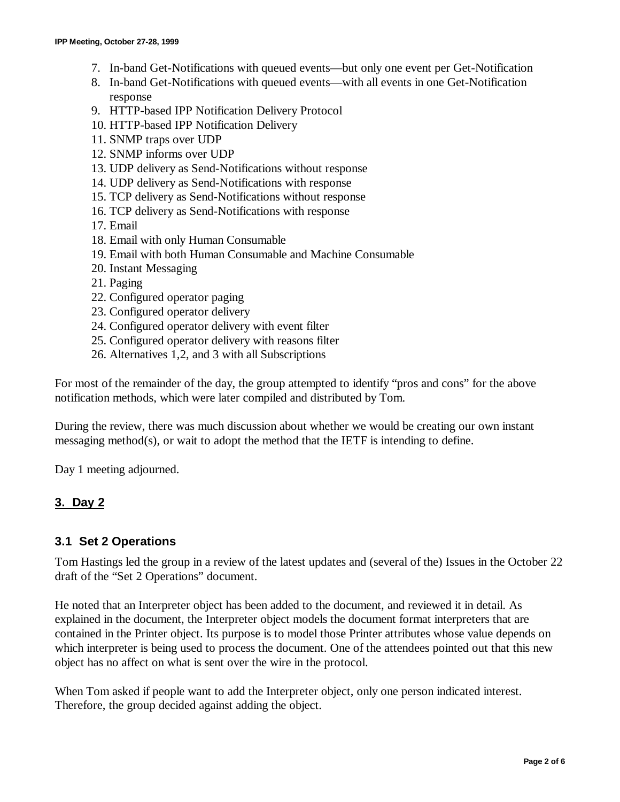- 7. In-band Get-Notifications with queued events— but only one event per Get-Notification
- 8. In-band Get-Notifications with queued events— with all events in one Get-Notification response
- 9. HTTP-based IPP Notification Delivery Protocol
- 10. HTTP-based IPP Notification Delivery
- 11. SNMP traps over UDP
- 12. SNMP informs over UDP
- 13. UDP delivery as Send-Notifications without response
- 14. UDP delivery as Send-Notifications with response
- 15. TCP delivery as Send-Notifications without response
- 16. TCP delivery as Send-Notifications with response
- 17. Email
- 18. Email with only Human Consumable
- 19. Email with both Human Consumable and Machine Consumable
- 20. Instant Messaging
- 21. Paging
- 22. Configured operator paging
- 23. Configured operator delivery
- 24. Configured operator delivery with event filter
- 25. Configured operator delivery with reasons filter
- 26. Alternatives 1,2, and 3 with all Subscriptions

For most of the remainder of the day, the group attempted to identify "pros and cons" for the above notification methods, which were later compiled and distributed by Tom.

During the review, there was much discussion about whether we would be creating our own instant messaging method(s), or wait to adopt the method that the IETF is intending to define.

Day 1 meeting adjourned.

#### **3. Day 2**

#### **3.1 Set 2 Operations**

Tom Hastings led the group in a review of the latest updates and (several of the) Issues in the October 22 draft of the "Set 2 Operations" document.

He noted that an Interpreter object has been added to the document, and reviewed it in detail. As explained in the document, the Interpreter object models the document format interpreters that are contained in the Printer object. Its purpose is to model those Printer attributes whose value depends on which interpreter is being used to process the document. One of the attendees pointed out that this new object has no affect on what is sent over the wire in the protocol.

When Tom asked if people want to add the Interpreter object, only one person indicated interest. Therefore, the group decided against adding the object.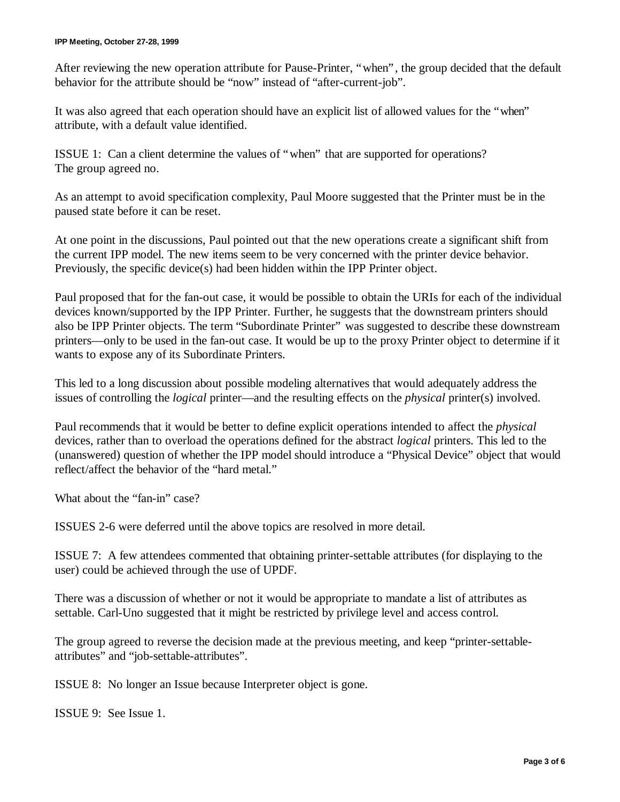After reviewing the new operation attribute for Pause-Printer, "when", the group decided that the default behavior for the attribute should be "now" instead of "after-current-job".

It was also agreed that each operation should have an explicit list of allowed values for the "when" attribute, with a default value identified.

ISSUE 1: Can a client determine the values of "when" that are supported for operations? The group agreed no.

As an attempt to avoid specification complexity, Paul Moore suggested that the Printer must be in the paused state before it can be reset.

At one point in the discussions, Paul pointed out that the new operations create a significant shift from the current IPP model. The new items seem to be very concerned with the printer device behavior. Previously, the specific device(s) had been hidden within the IPP Printer object.

Paul proposed that for the fan-out case, it would be possible to obtain the URIs for each of the individual devices known/supported by the IPP Printer. Further, he suggests that the downstream printers should also be IPP Printer objects. The term "Subordinate Printer" was suggested to describe these downstream printers— only to be used in the fan-out case. It would be up to the proxy Printer object to determine if it wants to expose any of its Subordinate Printers.

This led to a long discussion about possible modeling alternatives that would adequately address the issues of controlling the *logical* printer— and the resulting effects on the *physical* printer(s) involved.

Paul recommends that it would be better to define explicit operations intended to affect the *physical* devices, rather than to overload the operations defined for the abstract *logical* printers. This led to the (unanswered) question of whether the IPP model should introduce a "Physical Device" object that would reflect/affect the behavior of the "hard metal."

What about the "fan-in" case?

ISSUES 2-6 were deferred until the above topics are resolved in more detail.

ISSUE 7: A few attendees commented that obtaining printer-settable attributes (for displaying to the user) could be achieved through the use of UPDF.

There was a discussion of whether or not it would be appropriate to mandate a list of attributes as settable. Carl-Uno suggested that it might be restricted by privilege level and access control.

The group agreed to reverse the decision made at the previous meeting, and keep "printer-settableattributes" and "job-settable-attributes".

ISSUE 8: No longer an Issue because Interpreter object is gone.

ISSUE 9: See Issue 1.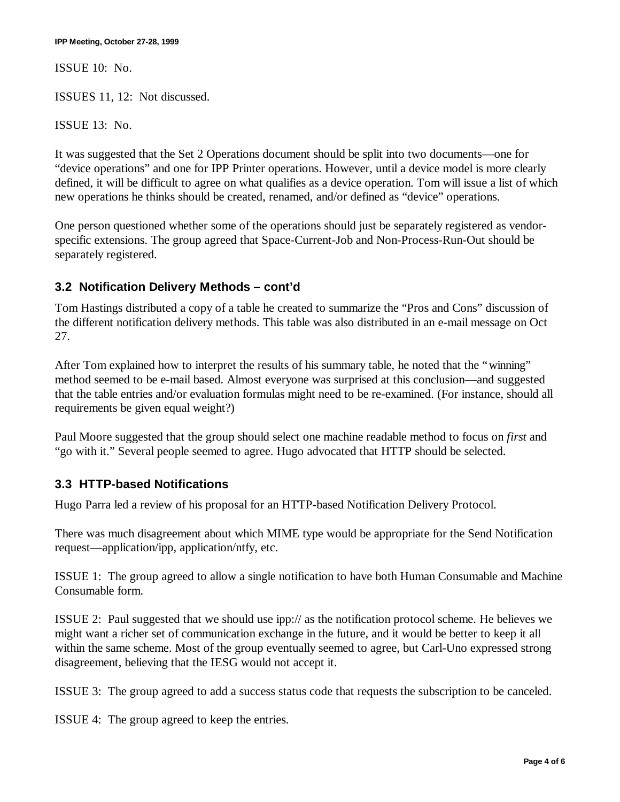ISSUE 10: No.

ISSUES 11, 12: Not discussed.

ISSUE 13: No.

It was suggested that the Set 2 Operations document should be split into two documents— one for "device operations" and one for IPP Printer operations. However, until a device model is more clearly defined, it will be difficult to agree on what qualifies as a device operation. Tom will issue a list of which new operations he thinks should be created, renamed, and/or defined as "device" operations.

One person questioned whether some of the operations should just be separately registered as vendorspecific extensions. The group agreed that Space-Current-Job and Non-Process-Run-Out should be separately registered.

### **3.2 Notification Delivery Methods – cont'd**

Tom Hastings distributed a copy of a table he created to summarize the "Pros and Cons" discussion of the different notification delivery methods. This table was also distributed in an e-mail message on Oct 27.

After Tom explained how to interpret the results of his summary table, he noted that the "winning" method seemed to be e-mail based. Almost everyone was surprised at this conclusion— and suggested that the table entries and/or evaluation formulas might need to be re-examined. (For instance, should all requirements be given equal weight?)

Paul Moore suggested that the group should select one machine readable method to focus on *first* and "go with it." Several people seemed to agree. Hugo advocated that HTTP should be selected.

### **3.3 HTTP-based Notifications**

Hugo Parra led a review of his proposal for an HTTP-based Notification Delivery Protocol.

There was much disagreement about which MIME type would be appropriate for the Send Notification request— application/ipp, application/ntfy, etc.

ISSUE 1: The group agreed to allow a single notification to have both Human Consumable and Machine Consumable form.

ISSUE 2: Paul suggested that we should use ipp:// as the notification protocol scheme. He believes we might want a richer set of communication exchange in the future, and it would be better to keep it all within the same scheme. Most of the group eventually seemed to agree, but Carl-Uno expressed strong disagreement, believing that the IESG would not accept it.

ISSUE 3: The group agreed to add a success status code that requests the subscription to be canceled.

ISSUE 4: The group agreed to keep the entries.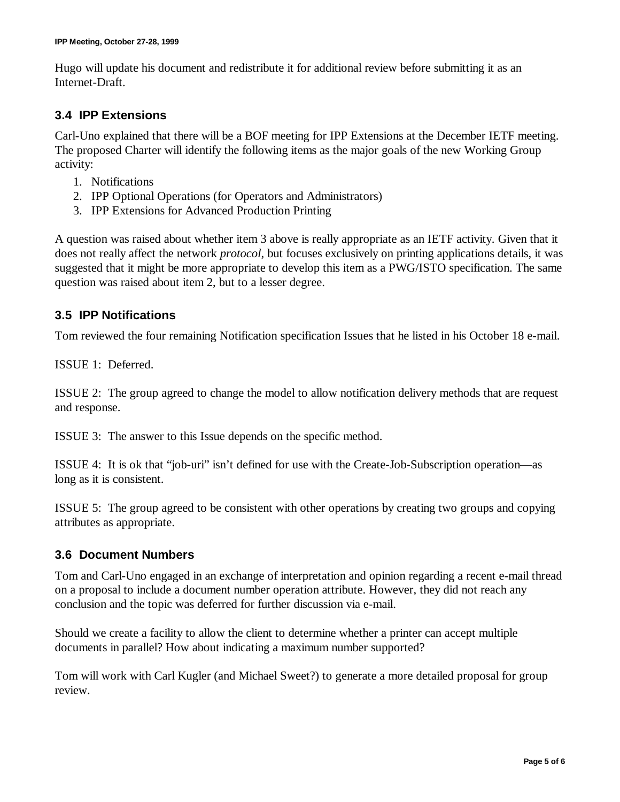Hugo will update his document and redistribute it for additional review before submitting it as an Internet-Draft.

### **3.4 IPP Extensions**

Carl-Uno explained that there will be a BOF meeting for IPP Extensions at the December IETF meeting. The proposed Charter will identify the following items as the major goals of the new Working Group activity:

- 1. Notifications
- 2. IPP Optional Operations (for Operators and Administrators)
- 3. IPP Extensions for Advanced Production Printing

A question was raised about whether item 3 above is really appropriate as an IETF activity. Given that it does not really affect the network *protocol*, but focuses exclusively on printing applications details, it was suggested that it might be more appropriate to develop this item as a PWG/ISTO specification. The same question was raised about item 2, but to a lesser degree.

### **3.5 IPP Notifications**

Tom reviewed the four remaining Notification specification Issues that he listed in his October 18 e-mail.

ISSUE 1: Deferred.

ISSUE 2: The group agreed to change the model to allow notification delivery methods that are request and response.

ISSUE 3: The answer to this Issue depends on the specific method.

ISSUE 4: It is ok that "job-uri" isn't defined for use with the Create-Job-Subscription operation— as long as it is consistent.

ISSUE 5: The group agreed to be consistent with other operations by creating two groups and copying attributes as appropriate.

### **3.6 Document Numbers**

Tom and Carl-Uno engaged in an exchange of interpretation and opinion regarding a recent e-mail thread on a proposal to include a document number operation attribute. However, they did not reach any conclusion and the topic was deferred for further discussion via e-mail.

Should we create a facility to allow the client to determine whether a printer can accept multiple documents in parallel? How about indicating a maximum number supported?

Tom will work with Carl Kugler (and Michael Sweet?) to generate a more detailed proposal for group review.